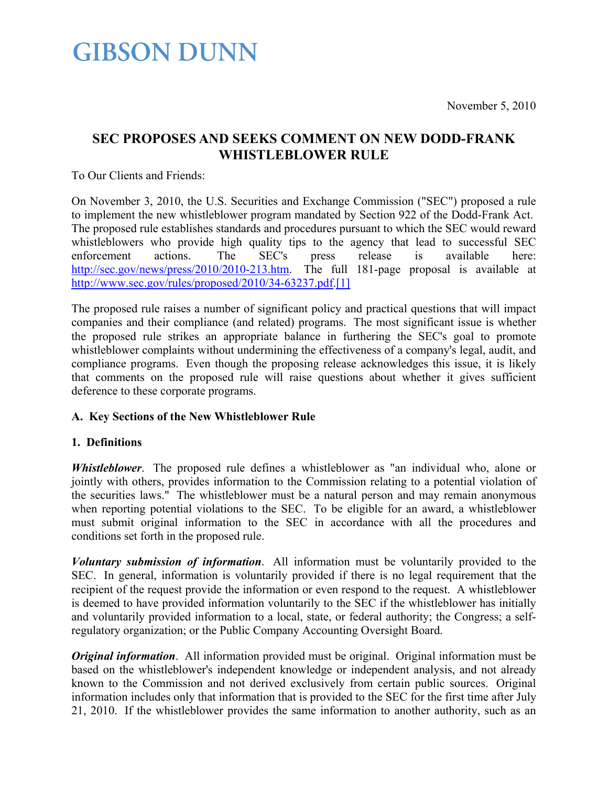### **SEC PROPOSES AND SEEKS COMMENT ON NEW DODD-FRANK WHISTLEBLOWER RULE**

To Our Clients and Friends:

On November 3, 2010, the U.S. Securities and Exchange Commission ("SEC") proposed a rule to implement the new whistleblower program mandated by Section 922 of the Dodd-Frank Act. The proposed rule establishes standards and procedures pursuant to which the SEC would reward whistleblowers who provide high quality tips to the agency that lead to successful SEC enforcement actions. The SEC's press release is available here: <http://sec.gov/news/press/2010/2010-213.htm>. The full 181-page proposal is available at [http://www.sec.gov/rules/proposed/2010/34-63237.pdf.](http://www.sec.gov/rules/proposed/2010/34-63237.pdf)[1]

The proposed rule raises a number of significant policy and practical questions that will impact companies and their compliance (and related) programs. The most significant issue is whether the proposed rule strikes an appropriate balance in furthering the SEC's goal to promote whistleblower complaints without undermining the effectiveness of a company's legal, audit, and compliance programs. Even though the proposing release acknowledges this issue, it is likely that comments on the proposed rule will raise questions about whether it gives sufficient deference to these corporate programs.

### **A. Key Sections of the New Whistleblower Rule**

#### **1. Definitions**

*Whistleblower*. The proposed rule defines a whistleblower as "an individual who, alone or jointly with others, provides information to the Commission relating to a potential violation of the securities laws." The whistleblower must be a natural person and may remain anonymous when reporting potential violations to the SEC. To be eligible for an award, a whistleblower must submit original information to the SEC in accordance with all the procedures and conditions set forth in the proposed rule.

*Voluntary submission of information*. All information must be voluntarily provided to the SEC. In general, information is voluntarily provided if there is no legal requirement that the recipient of the request provide the information or even respond to the request. A whistleblower is deemed to have provided information voluntarily to the SEC if the whistleblower has initially and voluntarily provided information to a local, state, or federal authority; the Congress; a selfregulatory organization; or the Public Company Accounting Oversight Board.

*Original information*. All information provided must be original. Original information must be based on the whistleblower's independent knowledge or independent analysis, and not already known to the Commission and not derived exclusively from certain public sources. Original information includes only that information that is provided to the SEC for the first time after July 21, 2010. If the whistleblower provides the same information to another authority, such as an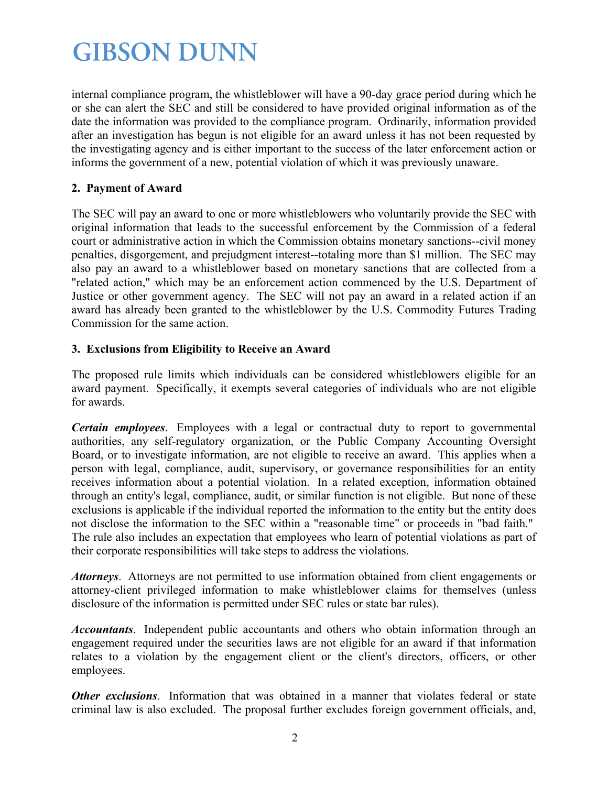internal compliance program, the whistleblower will have a 90-day grace period during which he or she can alert the SEC and still be considered to have provided original information as of the date the information was provided to the compliance program. Ordinarily, information provided after an investigation has begun is not eligible for an award unless it has not been requested by the investigating agency and is either important to the success of the later enforcement action or informs the government of a new, potential violation of which it was previously unaware.

### **2. Payment of Award**

The SEC will pay an award to one or more whistleblowers who voluntarily provide the SEC with original information that leads to the successful enforcement by the Commission of a federal court or administrative action in which the Commission obtains monetary sanctions--civil money penalties, disgorgement, and prejudgment interest--totaling more than \$1 million. The SEC may also pay an award to a whistleblower based on monetary sanctions that are collected from a "related action," which may be an enforcement action commenced by the U.S. Department of Justice or other government agency. The SEC will not pay an award in a related action if an award has already been granted to the whistleblower by the U.S. Commodity Futures Trading Commission for the same action.

### **3. Exclusions from Eligibility to Receive an Award**

The proposed rule limits which individuals can be considered whistleblowers eligible for an award payment. Specifically, it exempts several categories of individuals who are not eligible for awards.

*Certain employees*. Employees with a legal or contractual duty to report to governmental authorities, any self-regulatory organization, or the Public Company Accounting Oversight Board, or to investigate information, are not eligible to receive an award. This applies when a person with legal, compliance, audit, supervisory, or governance responsibilities for an entity receives information about a potential violation. In a related exception, information obtained through an entity's legal, compliance, audit, or similar function is not eligible. But none of these exclusions is applicable if the individual reported the information to the entity but the entity does not disclose the information to the SEC within a "reasonable time" or proceeds in "bad faith." The rule also includes an expectation that employees who learn of potential violations as part of their corporate responsibilities will take steps to address the violations.

*Attorneys*. Attorneys are not permitted to use information obtained from client engagements or attorney-client privileged information to make whistleblower claims for themselves (unless disclosure of the information is permitted under SEC rules or state bar rules).

*Accountants*. Independent public accountants and others who obtain information through an engagement required under the securities laws are not eligible for an award if that information relates to a violation by the engagement client or the client's directors, officers, or other employees.

*Other exclusions*. Information that was obtained in a manner that violates federal or state criminal law is also excluded. The proposal further excludes foreign government officials, and,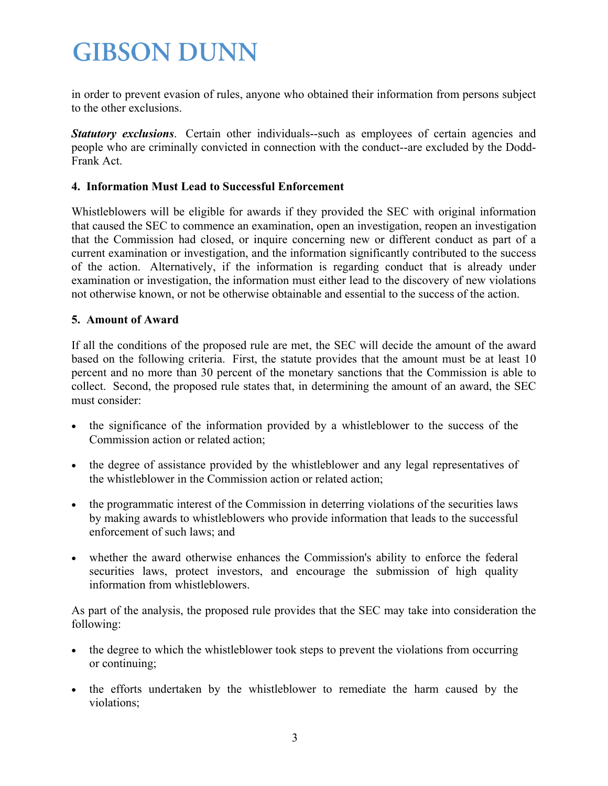in order to prevent evasion of rules, anyone who obtained their information from persons subject to the other exclusions.

*Statutory exclusions.* Certain other individuals--such as employees of certain agencies and people who are criminally convicted in connection with the conduct--are excluded by the Dodd-Frank Act.

#### **4. Information Must Lead to Successful Enforcement**

Whistleblowers will be eligible for awards if they provided the SEC with original information that caused the SEC to commence an examination, open an investigation, reopen an investigation that the Commission had closed, or inquire concerning new or different conduct as part of a current examination or investigation, and the information significantly contributed to the success of the action. Alternatively, if the information is regarding conduct that is already under examination or investigation, the information must either lead to the discovery of new violations not otherwise known, or not be otherwise obtainable and essential to the success of the action.

#### **5. Amount of Award**

If all the conditions of the proposed rule are met, the SEC will decide the amount of the award based on the following criteria. First, the statute provides that the amount must be at least 10 percent and no more than 30 percent of the monetary sanctions that the Commission is able to collect. Second, the proposed rule states that, in determining the amount of an award, the SEC must consider:

- the significance of the information provided by a whistleblower to the success of the Commission action or related action;
- the degree of assistance provided by the whistleblower and any legal representatives of the whistleblower in the Commission action or related action;
- the programmatic interest of the Commission in deterring violations of the securities laws by making awards to whistleblowers who provide information that leads to the successful enforcement of such laws; and
- whether the award otherwise enhances the Commission's ability to enforce the federal securities laws, protect investors, and encourage the submission of high quality information from whistleblowers.

As part of the analysis, the proposed rule provides that the SEC may take into consideration the following:

- the degree to which the whistleblower took steps to prevent the violations from occurring or continuing;
- the efforts undertaken by the whistleblower to remediate the harm caused by the violations;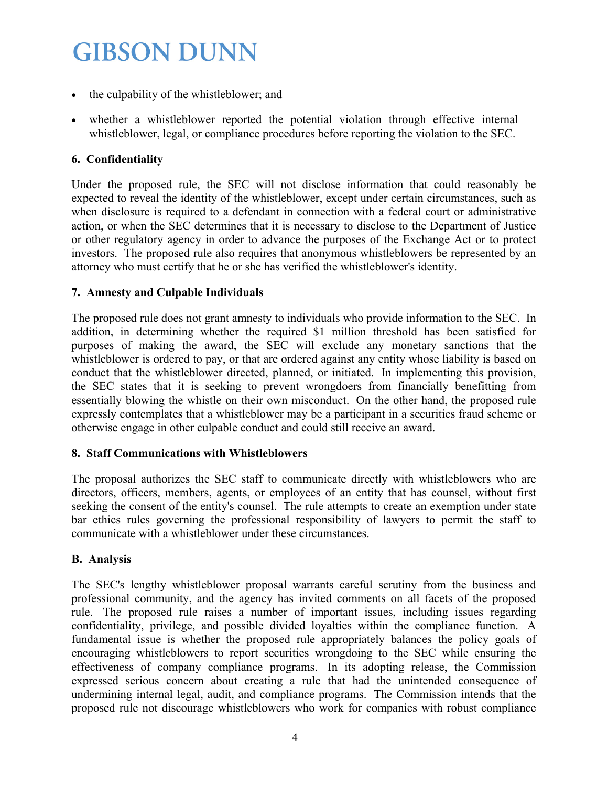- the culpability of the whistleblower; and
- whether a whistleblower reported the potential violation through effective internal whistleblower, legal, or compliance procedures before reporting the violation to the SEC.

### **6. Confidentiality**

Under the proposed rule, the SEC will not disclose information that could reasonably be expected to reveal the identity of the whistleblower, except under certain circumstances, such as when disclosure is required to a defendant in connection with a federal court or administrative action, or when the SEC determines that it is necessary to disclose to the Department of Justice or other regulatory agency in order to advance the purposes of the Exchange Act or to protect investors. The proposed rule also requires that anonymous whistleblowers be represented by an attorney who must certify that he or she has verified the whistleblower's identity.

### **7. Amnesty and Culpable Individuals**

The proposed rule does not grant amnesty to individuals who provide information to the SEC. In addition, in determining whether the required \$1 million threshold has been satisfied for purposes of making the award, the SEC will exclude any monetary sanctions that the whistleblower is ordered to pay, or that are ordered against any entity whose liability is based on conduct that the whistleblower directed, planned, or initiated. In implementing this provision, the SEC states that it is seeking to prevent wrongdoers from financially benefitting from essentially blowing the whistle on their own misconduct. On the other hand, the proposed rule expressly contemplates that a whistleblower may be a participant in a securities fraud scheme or otherwise engage in other culpable conduct and could still receive an award.

### **8. Staff Communications with Whistleblowers**

The proposal authorizes the SEC staff to communicate directly with whistleblowers who are directors, officers, members, agents, or employees of an entity that has counsel, without first seeking the consent of the entity's counsel. The rule attempts to create an exemption under state bar ethics rules governing the professional responsibility of lawyers to permit the staff to communicate with a whistleblower under these circumstances.

### **B. Analysis**

The SEC's lengthy whistleblower proposal warrants careful scrutiny from the business and professional community, and the agency has invited comments on all facets of the proposed rule. The proposed rule raises a number of important issues, including issues regarding confidentiality, privilege, and possible divided loyalties within the compliance function. A fundamental issue is whether the proposed rule appropriately balances the policy goals of encouraging whistleblowers to report securities wrongdoing to the SEC while ensuring the effectiveness of company compliance programs. In its adopting release, the Commission expressed serious concern about creating a rule that had the unintended consequence of undermining internal legal, audit, and compliance programs. The Commission intends that the proposed rule not discourage whistleblowers who work for companies with robust compliance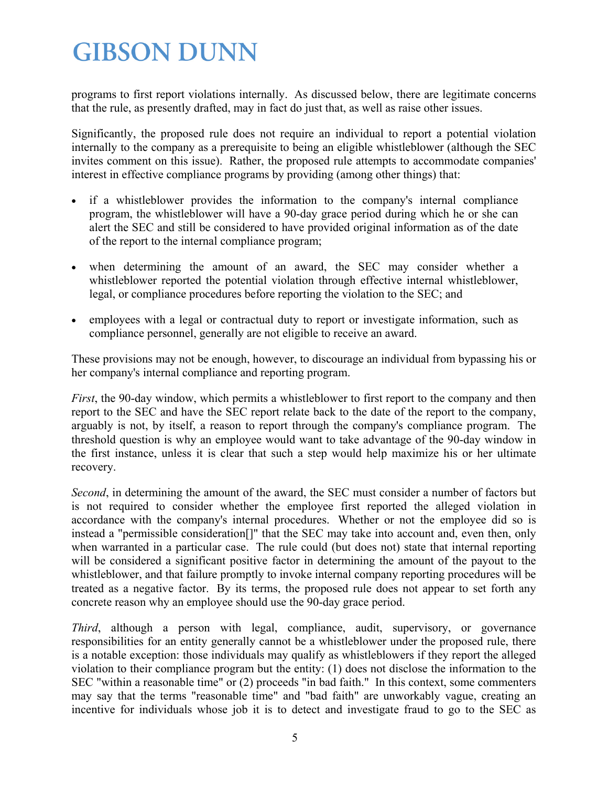programs to first report violations internally. As discussed below, there are legitimate concerns that the rule, as presently drafted, may in fact do just that, as well as raise other issues.

Significantly, the proposed rule does not require an individual to report a potential violation internally to the company as a prerequisite to being an eligible whistleblower (although the SEC invites comment on this issue). Rather, the proposed rule attempts to accommodate companies' interest in effective compliance programs by providing (among other things) that:

- if a whistleblower provides the information to the company's internal compliance program, the whistleblower will have a 90-day grace period during which he or she can alert the SEC and still be considered to have provided original information as of the date of the report to the internal compliance program;
- when determining the amount of an award, the SEC may consider whether a whistleblower reported the potential violation through effective internal whistleblower, legal, or compliance procedures before reporting the violation to the SEC; and
- employees with a legal or contractual duty to report or investigate information, such as compliance personnel, generally are not eligible to receive an award.

These provisions may not be enough, however, to discourage an individual from bypassing his or her company's internal compliance and reporting program.

*First*, the 90-day window, which permits a whistleblower to first report to the company and then report to the SEC and have the SEC report relate back to the date of the report to the company, arguably is not, by itself, a reason to report through the company's compliance program. The threshold question is why an employee would want to take advantage of the 90-day window in the first instance, unless it is clear that such a step would help maximize his or her ultimate recovery.

*Second*, in determining the amount of the award, the SEC must consider a number of factors but is not required to consider whether the employee first reported the alleged violation in accordance with the company's internal procedures. Whether or not the employee did so is instead a "permissible consideration[]" that the SEC may take into account and, even then, only when warranted in a particular case. The rule could (but does not) state that internal reporting will be considered a significant positive factor in determining the amount of the payout to the whistleblower, and that failure promptly to invoke internal company reporting procedures will be treated as a negative factor. By its terms, the proposed rule does not appear to set forth any concrete reason why an employee should use the 90-day grace period.

*Third*, although a person with legal, compliance, audit, supervisory, or governance responsibilities for an entity generally cannot be a whistleblower under the proposed rule, there is a notable exception: those individuals may qualify as whistleblowers if they report the alleged violation to their compliance program but the entity: (1) does not disclose the information to the SEC "within a reasonable time" or (2) proceeds "in bad faith." In this context, some commenters may say that the terms "reasonable time" and "bad faith" are unworkably vague, creating an incentive for individuals whose job it is to detect and investigate fraud to go to the SEC as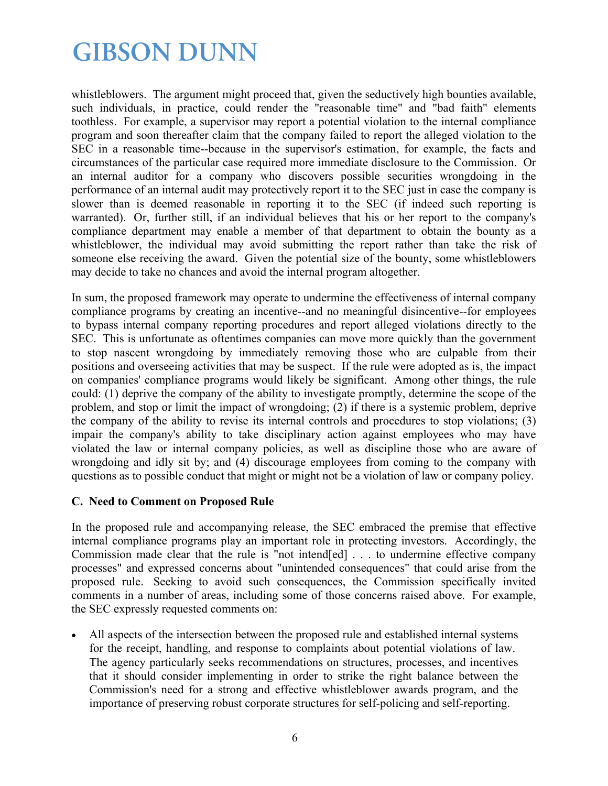whistleblowers. The argument might proceed that, given the seductively high bounties available, such individuals, in practice, could render the "reasonable time" and "bad faith" elements toothless. For example, a supervisor may report a potential violation to the internal compliance program and soon thereafter claim that the company failed to report the alleged violation to the SEC in a reasonable time--because in the supervisor's estimation, for example, the facts and circumstances of the particular case required more immediate disclosure to the Commission. Or an internal auditor for a company who discovers possible securities wrongdoing in the performance of an internal audit may protectively report it to the SEC just in case the company is slower than is deemed reasonable in reporting it to the SEC (if indeed such reporting is warranted). Or, further still, if an individual believes that his or her report to the company's compliance department may enable a member of that department to obtain the bounty as a whistleblower, the individual may avoid submitting the report rather than take the risk of someone else receiving the award. Given the potential size of the bounty, some whistleblowers may decide to take no chances and avoid the internal program altogether.

In sum, the proposed framework may operate to undermine the effectiveness of internal company compliance programs by creating an incentive--and no meaningful disincentive--for employees to bypass internal company reporting procedures and report alleged violations directly to the SEC. This is unfortunate as oftentimes companies can move more quickly than the government to stop nascent wrongdoing by immediately removing those who are culpable from their positions and overseeing activities that may be suspect. If the rule were adopted as is, the impact on companies' compliance programs would likely be significant. Among other things, the rule could: (1) deprive the company of the ability to investigate promptly, determine the scope of the problem, and stop or limit the impact of wrongdoing; (2) if there is a systemic problem, deprive the company of the ability to revise its internal controls and procedures to stop violations; (3) impair the company's ability to take disciplinary action against employees who may have violated the law or internal company policies, as well as discipline those who are aware of wrongdoing and idly sit by; and (4) discourage employees from coming to the company with questions as to possible conduct that might or might not be a violation of law or company policy.

### **C. Need to Comment on Proposed Rule**

In the proposed rule and accompanying release, the SEC embraced the premise that effective internal compliance programs play an important role in protecting investors. Accordingly, the Commission made clear that the rule is "not intend[ed] . . . to undermine effective company processes" and expressed concerns about "unintended consequences" that could arise from the proposed rule. Seeking to avoid such consequences, the Commission specifically invited comments in a number of areas, including some of those concerns raised above. For example, the SEC expressly requested comments on:

 All aspects of the intersection between the proposed rule and established internal systems for the receipt, handling, and response to complaints about potential violations of law. The agency particularly seeks recommendations on structures, processes, and incentives that it should consider implementing in order to strike the right balance between the Commission's need for a strong and effective whistleblower awards program, and the importance of preserving robust corporate structures for self-policing and self-reporting.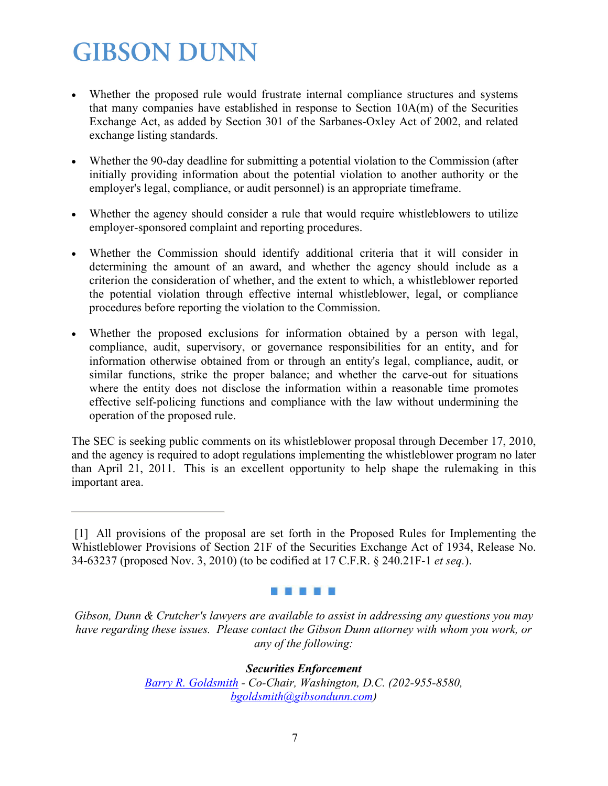- Whether the proposed rule would frustrate internal compliance structures and systems that many companies have established in response to Section 10A(m) of the Securities Exchange Act, as added by Section 301 of the Sarbanes-Oxley Act of 2002, and related exchange listing standards.
- Whether the 90-day deadline for submitting a potential violation to the Commission (after initially providing information about the potential violation to another authority or the employer's legal, compliance, or audit personnel) is an appropriate timeframe.
- Whether the agency should consider a rule that would require whistleblowers to utilize employer-sponsored complaint and reporting procedures.
- Whether the Commission should identify additional criteria that it will consider in determining the amount of an award, and whether the agency should include as a criterion the consideration of whether, and the extent to which, a whistleblower reported the potential violation through effective internal whistleblower, legal, or compliance procedures before reporting the violation to the Commission.
- Whether the proposed exclusions for information obtained by a person with legal, compliance, audit, supervisory, or governance responsibilities for an entity, and for information otherwise obtained from or through an entity's legal, compliance, audit, or similar functions, strike the proper balance; and whether the carve-out for situations where the entity does not disclose the information within a reasonable time promotes effective self-policing functions and compliance with the law without undermining the operation of the proposed rule.

The SEC is seeking public comments on its whistleblower proposal through December 17, 2010, and the agency is required to adopt regulations implementing the whistleblower program no later than April 21, 2011. This is an excellent opportunity to help shape the rulemaking in this important area.

#### . . . . .

*Securities Enforcement [Barry R. Goldsmith](http://www.gibsondunn.com/Lawyers/bgoldsmith) - Co-Chair, Washington, D.C. (202-955-8580, [bgoldsmith@gibsondunn.com\)](mailto:bgoldsmith@gibsondunn.com)* 

<sup>[1]</sup> All provisions of the proposal are set forth in the Proposed Rules for Implementing the Whistleblower Provisions of Section 21F of the Securities Exchange Act of 1934, Release No. 34-63237 (proposed Nov. 3, 2010) (to be codified at 17 C.F.R. § 240.21F-1 *et seq.*).

*Gibson, Dunn & Crutcher's lawyers are available to assist in addressing any questions you may have regarding these issues. Please contact the Gibson Dunn attorney with whom you work, or any of the following:*